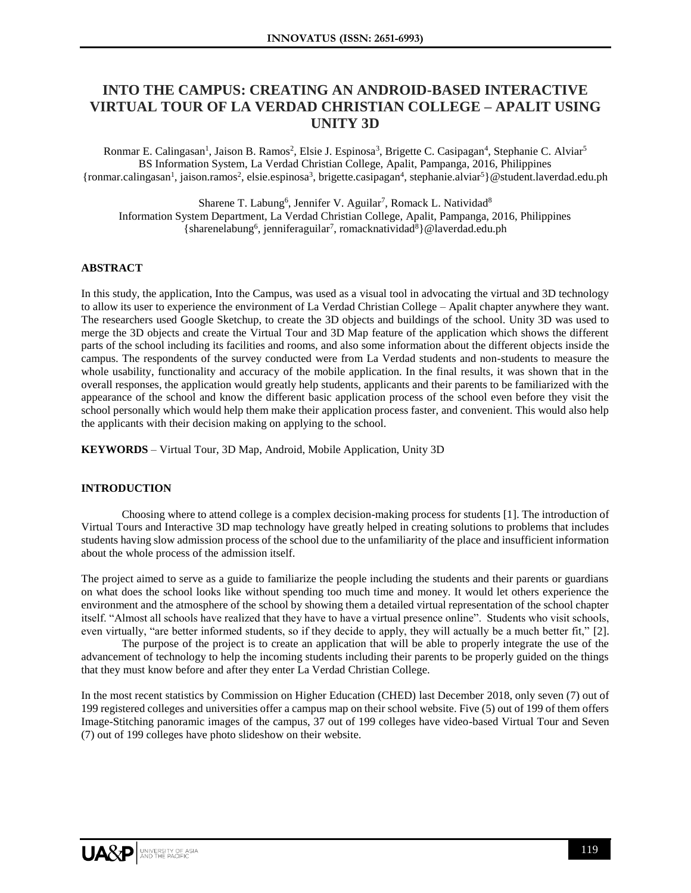# **INTO THE CAMPUS: CREATING AN ANDROID-BASED INTERACTIVE VIRTUAL TOUR OF LA VERDAD CHRISTIAN COLLEGE – APALIT USING UNITY 3D**

Ronmar E. Calingasan<sup>1</sup>, Jaison B. Ramos<sup>2</sup>, Elsie J. Espinosa<sup>3</sup>, Brigette C. Casipagan<sup>4</sup>, Stephanie C. Alviar<sup>5</sup> BS Information System, La Verdad Christian College, Apalit, Pampanga, 2016, Philippines {ronmar.calingasan<sup>1</sup>, jaison.ramos<sup>2</sup>, elsie.espinosa<sup>3</sup>, brigette.casipagan<sup>4</sup>, stephanie.alviar<sup>5</sup>}@student.laverdad.edu.ph

Sharene T. Labung<sup>6</sup>, Jennifer V. Aguilar<sup>7</sup>, Romack L. Natividad<sup>8</sup> Information System Department, La Verdad Christian College, Apalit, Pampanga, 2016, Philippines {sharenelabung<sup>6</sup>, jenniferaguilar<sup>7</sup>, romacknatividad<sup>8</sup>} @laverdad.edu.ph

#### **ABSTRACT**

In this study, the application, Into the Campus, was used as a visual tool in advocating the virtual and 3D technology to allow its user to experience the environment of La Verdad Christian College – Apalit chapter anywhere they want. The researchers used Google Sketchup, to create the 3D objects and buildings of the school. Unity 3D was used to merge the 3D objects and create the Virtual Tour and 3D Map feature of the application which shows the different parts of the school including its facilities and rooms, and also some information about the different objects inside the campus. The respondents of the survey conducted were from La Verdad students and non-students to measure the whole usability, functionality and accuracy of the mobile application. In the final results, it was shown that in the overall responses, the application would greatly help students, applicants and their parents to be familiarized with the appearance of the school and know the different basic application process of the school even before they visit the school personally which would help them make their application process faster, and convenient. This would also help the applicants with their decision making on applying to the school.

**KEYWORDS** – Virtual Tour, 3D Map, Android, Mobile Application, Unity 3D

#### **INTRODUCTION**

Choosing where to attend college is a complex decision-making process for students [1]. The introduction of Virtual Tours and Interactive 3D map technology have greatly helped in creating solutions to problems that includes students having slow admission process of the school due to the unfamiliarity of the place and insufficient information about the whole process of the admission itself.

The project aimed to serve as a guide to familiarize the people including the students and their parents or guardians on what does the school looks like without spending too much time and money. It would let others experience the environment and the atmosphere of the school by showing them a detailed virtual representation of the school chapter itself. "Almost all schools have realized that they have to have a virtual presence online". Students who visit schools, even virtually, "are better informed students, so if they decide to apply, they will actually be a much better fit," [2].

The purpose of the project is to create an application that will be able to properly integrate the use of the advancement of technology to help the incoming students including their parents to be properly guided on the things that they must know before and after they enter La Verdad Christian College.

In the most recent statistics by Commission on Higher Education (CHED) last December 2018, only seven (7) out of 199 registered colleges and universities offer a campus map on their school website. Five (5) out of 199 of them offers Image-Stitching panoramic images of the campus, 37 out of 199 colleges have video-based Virtual Tour and Seven (7) out of 199 colleges have photo slideshow on their website.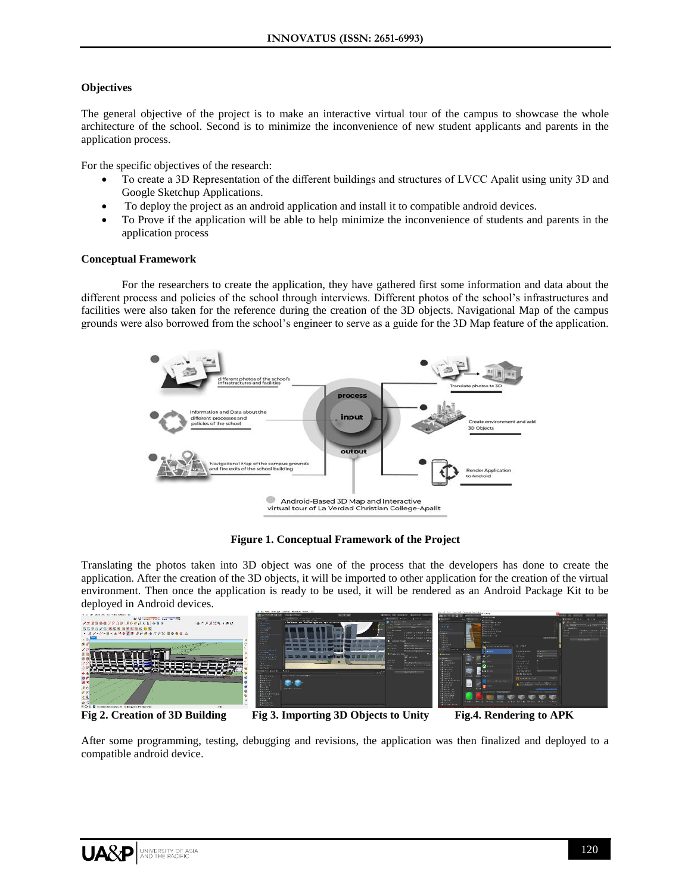#### **Objectives**

The general objective of the project is to make an interactive virtual tour of the campus to showcase the whole architecture of the school. Second is to minimize the inconvenience of new student applicants and parents in the application process.

For the specific objectives of the research:

- To create a 3D Representation of the different buildings and structures of LVCC Apalit using unity 3D and Google Sketchup Applications.
- To deploy the project as an android application and install it to compatible android devices.
- To Prove if the application will be able to help minimize the inconvenience of students and parents in the application process

#### **Conceptual Framework**

For the researchers to create the application, they have gathered first some information and data about the different process and policies of the school through interviews. Different photos of the school's infrastructures and facilities were also taken for the reference during the creation of the 3D objects. Navigational Map of the campus grounds were also borrowed from the school's engineer to serve as a guide for the 3D Map feature of the application.



**Figure 1. Conceptual Framework of the Project**

Translating the photos taken into 3D object was one of the process that the developers has done to create the application. After the creation of the 3D objects, it will be imported to other application for the creation of the virtual environment. Then once the application is ready to be used, it will be rendered as an Android Package Kit to be deployed in Android devices.



**Fig 2. Creation of 3D Building Fig 3. Importing 3D Objects to Unity Fig.4. Rendering to APK** 

After some programming, testing, debugging and revisions, the application was then finalized and deployed to a compatible android device.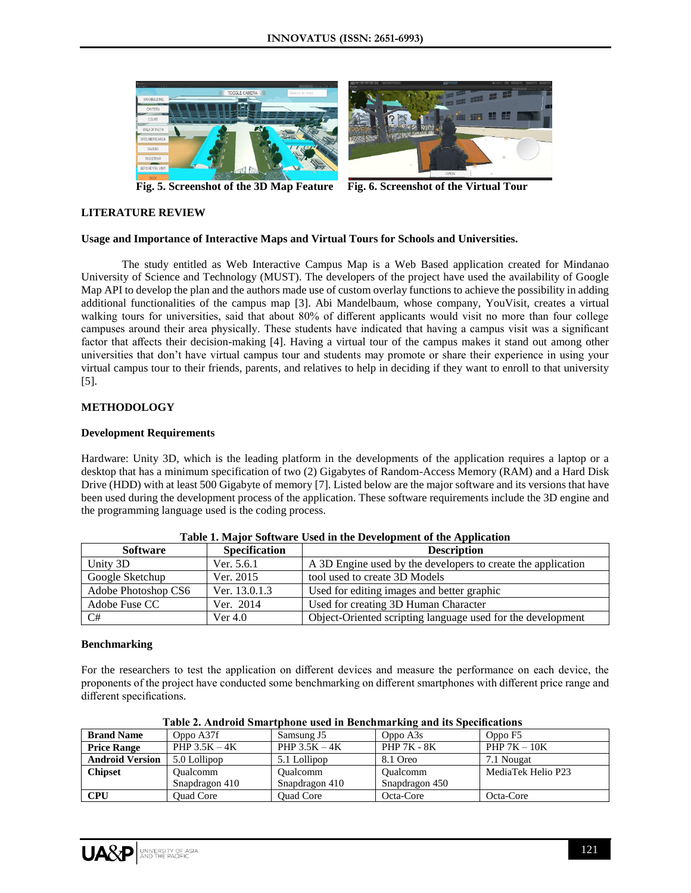

 **Fig. 5. Screenshot of the 3D Map Feature Fig. 6. Screenshot of the Virtual Tour** 

## **LITERATURE REVIEW**

## **Usage and Importance of Interactive Maps and Virtual Tours for Schools and Universities.**

The study entitled as Web Interactive Campus Map is a Web Based application created for Mindanao University of Science and Technology (MUST). The developers of the project have used the availability of Google Map API to develop the plan and the authors made use of custom overlay functions to achieve the possibility in adding additional functionalities of the campus map [3]. Abi Mandelbaum, whose company, YouVisit, creates a virtual walking tours for universities, said that about 80% of different applicants would visit no more than four college campuses around their area physically. These students have indicated that having a campus visit was a significant factor that affects their decision-making [4]. Having a virtual tour of the campus makes it stand out among other universities that don't have virtual campus tour and students may promote or share their experience in using your virtual campus tour to their friends, parents, and relatives to help in deciding if they want to enroll to that university [5].

# **METHODOLOGY**

## **Development Requirements**

Hardware: Unity 3D, which is the leading platform in the developments of the application requires a laptop or a desktop that has a minimum specification of two (2) Gigabytes of Random-Access Memory (RAM) and a Hard Disk Drive (HDD) with at least 500 Gigabyte of memory [7]. Listed below are the major software and its versions that have been used during the development process of the application. These software requirements include the 3D engine and the programming language used is the coding process.

| Software            | <b>Specification</b> | <b>Description</b>                                           |  |
|---------------------|----------------------|--------------------------------------------------------------|--|
| Unity 3D            | Ver. 5.6.1           | A 3D Engine used by the developers to create the application |  |
| Google Sketchup     | Ver. 2015            | tool used to create 3D Models                                |  |
| Adobe Photoshop CS6 | Ver. 13.0.1.3        | Used for editing images and better graphic                   |  |
| Adobe Fuse CC       | Ver. 2014            | Used for creating 3D Human Character                         |  |
| C#                  | Ver $4.0$            | Object-Oriented scripting language used for the development  |  |

| Table 1. Major Software Used in the Development of the Application |  |
|--------------------------------------------------------------------|--|
|--------------------------------------------------------------------|--|

#### **Benchmarking**

For the researchers to test the application on different devices and measure the performance on each device, the proponents of the project have conducted some benchmarking on different smartphones with different price range and different specifications.

| таріс 20 тымі она энци српонс азса ні всійсніцаї кінд ана пэ эреспісатоно |                 |                  |                    |                    |  |  |
|---------------------------------------------------------------------------|-----------------|------------------|--------------------|--------------------|--|--|
| <b>Brand Name</b>                                                         | Oppo A37f       | Samsung J5       | Oppo A3s           | Oppo F5            |  |  |
| <b>Price Range</b>                                                        | PHP $3.5K - 4K$ | PHP $3.5K - 4K$  | <b>PHP 7K - 8K</b> | PHP $7K - 10K$     |  |  |
| <b>Android Version</b>                                                    | 5.0 Lollipop    | 5.1 Lollipop     | 8.1 Oreo           | 7.1 Nougat         |  |  |
| <b>Chipset</b>                                                            | <b>Oualcomm</b> | <b>Oualcomm</b>  | Oualcomm           | MediaTek Helio P23 |  |  |
|                                                                           | Snapdragon 410  | Snapdragon 410   | Snapdragon 450     |                    |  |  |
| <b>CPU</b>                                                                | Ouad Core       | <b>Ouad Core</b> | Octa-Core          | Octa-Core          |  |  |

**Table 2. Android Smartphone used in Benchmarking and its Specifications**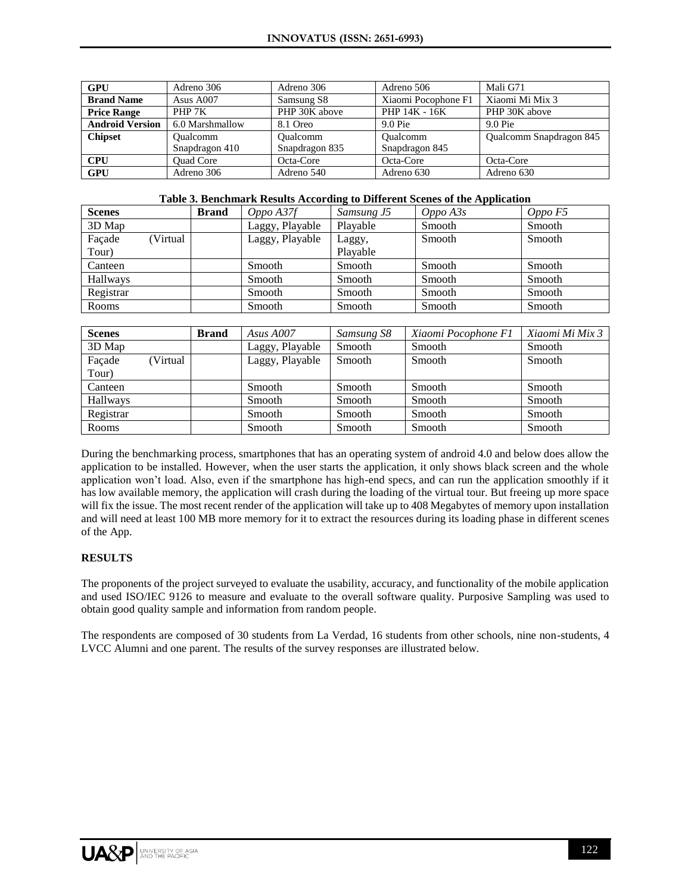| <b>GPU</b>             | Adreno 306                  | Adreno 306     | Adreno 506          | Mali G71                |
|------------------------|-----------------------------|----------------|---------------------|-------------------------|
| <b>Brand Name</b>      | Asus A007                   | Samsung S8     | Xiaomi Pocophone F1 | Xiaomi Mi Mix 3         |
| <b>Price Range</b>     | PHP 7K                      | PHP 30K above  | PHP 14K - 16K       | PHP 30K above           |
| <b>Android Version</b> | 6.0 Marshmallow             | 8.1 Oreo       | $9.0$ Pie           | $9.0$ Pie               |
| <b>Chipset</b>         | Oualcomm<br><b>Oualcomm</b> |                | <b>Oualcomm</b>     | Qualcomm Snapdragon 845 |
|                        | Snapdragon 410              | Snapdragon 835 | Snapdragon 845      |                         |
| <b>CPU</b>             | <b>Ouad Core</b>            | Octa-Core      | Octa-Core           | Octa-Core               |
| <b>GPU</b>             | Adreno 306                  | Adreno 540     | Adreno 630          | Adreno 630              |

#### **Table 3. Benchmark Results According to Different Scenes of the Application**

| <b>Scenes</b> |          | <b>Brand</b> | Oppo A37f       | Samsung J5 | $Oppo\,A3s$ | Oppo F5       |
|---------------|----------|--------------|-----------------|------------|-------------|---------------|
| 3D Map        |          |              | Laggy, Playable | Plavable   | Smooth      | Smooth        |
| Facade        | (Virtual |              | Laggy, Playable | Laggy,     | Smooth      | <b>Smooth</b> |
| Tour)         |          |              |                 | Plavable   |             |               |
| Canteen       |          |              | Smooth          | Smooth     | Smooth      | Smooth        |
| Hallways      |          |              | Smooth          | Smooth     | Smooth      | Smooth        |
| Registrar     |          |              | Smooth          | Smooth     | Smooth      | Smooth        |
| Rooms         |          |              | Smooth          | Smooth     | Smooth      | Smooth        |

| <b>Scenes</b> |          | <b>Brand</b> | Asus $A007$     | Samsung S8 | Xiaomi Pocophone F1 | Xiaomi Mi Mix 3 |
|---------------|----------|--------------|-----------------|------------|---------------------|-----------------|
| 3D Map        |          |              | Laggy, Playable | Smooth     | Smooth              | Smooth          |
| Façade        | (Virtual |              | Laggy, Playable | Smooth     | Smooth              | Smooth          |
| Tour)         |          |              |                 |            |                     |                 |
| Canteen       |          |              | Smooth          | Smooth     | Smooth              | Smooth          |
| Hallways      |          |              | Smooth          | Smooth     | Smooth              | Smooth          |
| Registrar     |          |              | Smooth          | Smooth     | Smooth              | Smooth          |
| Rooms         |          |              | Smooth          | Smooth     | Smooth              | Smooth          |

During the benchmarking process, smartphones that has an operating system of android 4.0 and below does allow the application to be installed. However, when the user starts the application, it only shows black screen and the whole application won't load. Also, even if the smartphone has high-end specs, and can run the application smoothly if it has low available memory, the application will crash during the loading of the virtual tour. But freeing up more space will fix the issue. The most recent render of the application will take up to 408 Megabytes of memory upon installation and will need at least 100 MB more memory for it to extract the resources during its loading phase in different scenes of the App.

## **RESULTS**

The proponents of the project surveyed to evaluate the usability, accuracy, and functionality of the mobile application and used ISO/IEC 9126 to measure and evaluate to the overall software quality. Purposive Sampling was used to obtain good quality sample and information from random people.

The respondents are composed of 30 students from La Verdad, 16 students from other schools, nine non-students, 4 LVCC Alumni and one parent. The results of the survey responses are illustrated below.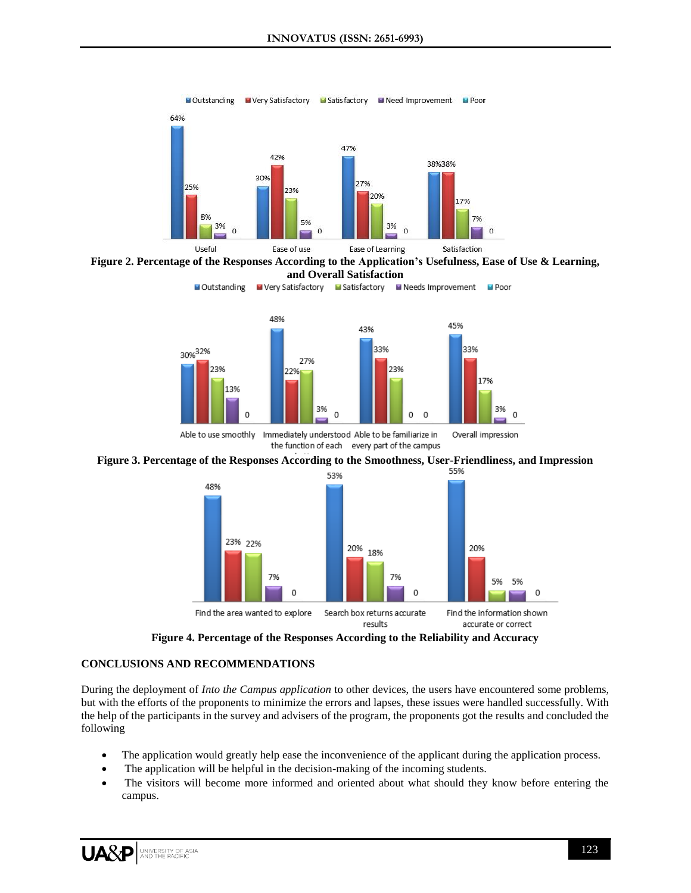



■ Very Satisfactory ■ Satisfactory ■ Needs Improvement

**El** Poor



Able to use smoothly Immediately understood Able to be familiarize in Overall impression the function of each every part of the campus





**Figure 4. Percentage of the Responses According to the Reliability and Accuracy**

# **CONCLUSIONS AND RECOMMENDATIONS**

Outstanding

During the deployment of *Into the Campus application* to other devices, the users have encountered some problems, but with the efforts of the proponents to minimize the errors and lapses, these issues were handled successfully. With the help of the participants in the survey and advisers of the program, the proponents got the results and concluded the following

- The application would greatly help ease the inconvenience of the applicant during the application process.
- The application will be helpful in the decision-making of the incoming students.
- The visitors will become more informed and oriented about what should they know before entering the campus.